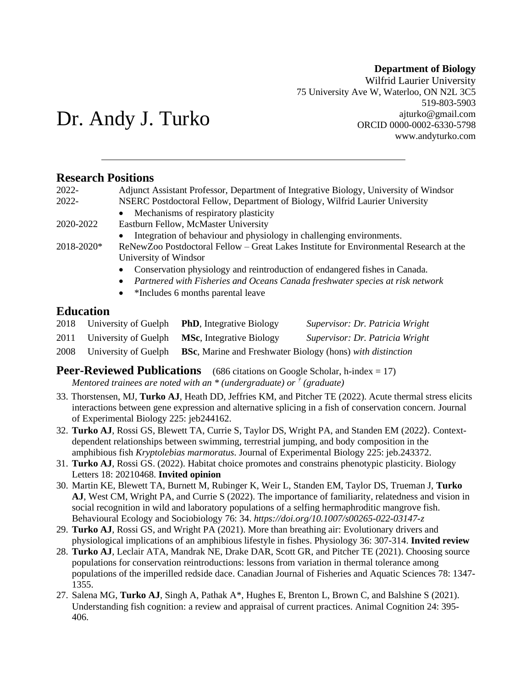#### **Department of Biology**

Wilfrid Laurier University 75 University Ave W, Waterloo, ON N2L 3C5 519-803-5903 ajturko@gmail.com ORCID 0000-0002-6330-5798 www.andyturko.com

# Dr. Andy J. Turko

# **Research Positions**

| 2022-      | Adjunct Assistant Professor, Department of Integrative Biology, University of Windsor   |
|------------|-----------------------------------------------------------------------------------------|
| 2022-      | NSERC Postdoctoral Fellow, Department of Biology, Wilfrid Laurier University            |
|            | • Mechanisms of respiratory plasticity                                                  |
| 2020-2022  | Eastburn Fellow, McMaster University                                                    |
|            | • Integration of behaviour and physiology in challenging environments.                  |
| 2018-2020* | ReNewZoo Postdoctoral Fellow – Great Lakes Institute for Environmental Research at the  |
|            | University of Windsor                                                                   |
|            | Conservation physiology and reintroduction of endangered fishes in Canada.<br>$\bullet$ |
|            | • Partnered with Fisheries and Oceans Canada freshwater species at risk network         |

• \*Includes 6 months parental leave

# **Education**

|      | 2018 University of Guelph | <b>PhD</b> , Integrative Biology                   | Supervisor: Dr. Patricia Wright                                   |
|------|---------------------------|----------------------------------------------------|-------------------------------------------------------------------|
|      |                           | 2011 University of Guelph MSc, Integrative Biology | Supervisor: Dr. Patricia Wright                                   |
| 2008 | University of Guelph      |                                                    | <b>BSc.</b> Marine and Freshwater Biology (hons) with distinction |

**Peer-Reviewed Publications** (686 citations on Google Scholar, h-index = 17) *Mentored trainees are noted with an \* (undergraduate) or † (graduate)*

- 33. Thorstensen, MJ, **Turko AJ**, Heath DD, Jeffries KM, and Pitcher TE (2022). Acute thermal stress elicits interactions between gene expression and alternative splicing in a fish of conservation concern. Journal of Experimental Biology 225: jeb244162.
- 32. **Turko AJ**, Rossi GS, Blewett TA, Currie S, Taylor DS, Wright PA, and Standen EM (2022). Contextdependent relationships between swimming, terrestrial jumping, and body composition in the amphibious fish *Kryptolebias marmoratus.* Journal of Experimental Biology 225: jeb.243372.
- 31. **Turko AJ**, Rossi GS. (2022). Habitat choice promotes and constrains phenotypic plasticity. Biology Letters 18: 20210468. **Invited opinion**
- 30. Martin KE, Blewett TA, Burnett M, Rubinger K, Weir L, Standen EM, Taylor DS, Trueman J, **Turko AJ**, West CM, Wright PA, and Currie S (2022). The importance of familiarity, relatedness and vision in social recognition in wild and laboratory populations of a selfing hermaphroditic mangrove fish. Behavioural Ecology and Sociobiology 76: 34. *https://doi.org/10.1007/s00265-022-03147-z*
- 29. **Turko AJ**, Rossi GS, and Wright PA (2021). More than breathing air: Evolutionary drivers and physiological implications of an amphibious lifestyle in fishes. Physiology 36: 307-314. **Invited review**
- 28. **Turko AJ**, Leclair ATA, Mandrak NE, Drake DAR, Scott GR, and Pitcher TE (2021). Choosing source populations for conservation reintroductions: lessons from variation in thermal tolerance among populations of the imperilled redside dace. Canadian Journal of Fisheries and Aquatic Sciences 78: 1347- 1355.
- 27. Salena MG, **Turko AJ**, Singh A, Pathak A\*, Hughes E, Brenton L, Brown C, and Balshine S (2021). Understanding fish cognition: a review and appraisal of current practices. Animal Cognition 24: 395- 406.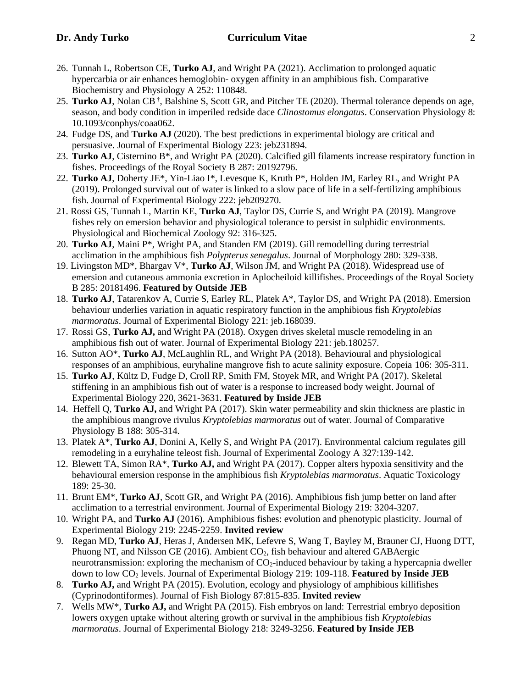- 26. Tunnah L, Robertson CE, **Turko AJ**, and Wright PA (2021). Acclimation to prolonged aquatic hypercarbia or air enhances hemoglobin- oxygen affinity in an amphibious fish. Comparative Biochemistry and Physiology A 252: 110848.
- 25. Turko AJ, Nolan CB<sup>†</sup>, Balshine S, Scott GR, and Pitcher TE (2020). Thermal tolerance depends on age, season, and body condition in imperiled redside dace *Clinostomus elongatus*. Conservation Physiology 8: 10.1093/conphys/coaa062.
- 24. Fudge DS, and **Turko AJ** (2020). The best predictions in experimental biology are critical and persuasive. Journal of Experimental Biology 223: jeb231894.
- 23. **Turko AJ**, Cisternino B\*, and Wright PA (2020). Calcified gill filaments increase respiratory function in fishes. Proceedings of the Royal Society B 287: 20192796.
- 22. **Turko AJ**, Doherty JE\*, Yin-Liao I\*, Levesque K, Kruth P\*, Holden JM, Earley RL, and Wright PA (2019). Prolonged survival out of water is linked to a slow pace of life in a self-fertilizing amphibious fish. Journal of Experimental Biology 222: jeb209270.
- 21. Rossi GS, Tunnah L, Martin KE, **Turko AJ**, Taylor DS, Currie S, and Wright PA (2019). Mangrove fishes rely on emersion behavior and physiological tolerance to persist in sulphidic environments. Physiological and Biochemical Zoology 92: 316-325.
- 20. **Turko AJ**, Maini P\*, Wright PA, and Standen EM (2019). Gill remodelling during terrestrial acclimation in the amphibious fish *Polypterus senegalus*. Journal of Morphology 280: 329-338.
- 19. Livingston MD\*, Bhargav V\*, **Turko AJ**, Wilson JM, and Wright PA (2018). Widespread use of emersion and cutaneous ammonia excretion in Aplocheiloid killifishes. Proceedings of the Royal Society B 285: 20181496. **Featured by Outside JEB**
- 18. **Turko AJ**, Tatarenkov A, Currie S, Earley RL, Platek A\*, Taylor DS, and Wright PA (2018). Emersion behaviour underlies variation in aquatic respiratory function in the amphibious fish *Kryptolebias marmoratus*. Journal of Experimental Biology 221: jeb.168039.
- 17. Rossi GS, **Turko AJ,** and Wright PA (2018). Oxygen drives skeletal muscle remodeling in an amphibious fish out of water. Journal of Experimental Biology 221: jeb.180257.
- 16. Sutton AO\*, **Turko AJ**, McLaughlin RL, and Wright PA (2018). Behavioural and physiological responses of an amphibious, euryhaline mangrove fish to acute salinity exposure. Copeia 106: 305-311.
- 15. **Turko AJ**, Kültz D, Fudge D, Croll RP, Smith FM, Stoyek MR, and Wright PA (2017). Skeletal stiffening in an amphibious fish out of water is a response to increased body weight. Journal of Experimental Biology 220, 3621-3631. **Featured by Inside JEB**
- 14. Heffell Q, **Turko AJ,** and Wright PA (2017). Skin water permeability and skin thickness are plastic in the amphibious mangrove rivulus *Kryptolebias marmoratus* out of water. Journal of Comparative Physiology B 188: 305-314.
- 13. Platek A\*, **Turko AJ**, Donini A, Kelly S, and Wright PA (2017). Environmental calcium regulates gill remodeling in a euryhaline teleost fish. Journal of Experimental Zoology A 327:139-142.
- 12. Blewett TA, Simon RA\*, **Turko AJ,** and Wright PA (2017). Copper alters hypoxia sensitivity and the behavioural emersion response in the amphibious fish *Kryptolebias marmoratus*. Aquatic Toxicology 189: 25-30.
- 11. Brunt EM\*, **Turko AJ**, Scott GR, and Wright PA (2016). Amphibious fish jump better on land after acclimation to a terrestrial environment. Journal of Experimental Biology 219: 3204-3207.
- 10. Wright PA, and **Turko AJ** (2016). Amphibious fishes: evolution and phenotypic plasticity. Journal of Experimental Biology 219: 2245-2259. **Invited review**
- 9. Regan MD, **Turko AJ**, Heras J, Andersen MK, Lefevre S, Wang T, Bayley M, Brauner CJ, Huong DTT, Phuong NT, and Nilsson GE (2016). Ambient CO2, fish behaviour and altered GABAergic neurotransmission: exploring the mechanism of  $CO<sub>2</sub>$ -induced behaviour by taking a hypercapnia dweller down to low CO<sup>2</sup> levels. Journal of Experimental Biology 219: 109-118. **Featured by Inside JEB**
- 8. **Turko AJ,** and Wright PA (2015). Evolution, ecology and physiology of amphibious killifishes (Cyprinodontiformes). Journal of Fish Biology 87:815-835. **Invited review**
- 7. Wells MW\*, **Turko AJ,** and Wright PA (2015). Fish embryos on land: Terrestrial embryo deposition lowers oxygen uptake without altering growth or survival in the amphibious fish *Kryptolebias marmoratus*. Journal of Experimental Biology 218: 3249-3256. **Featured by Inside JEB**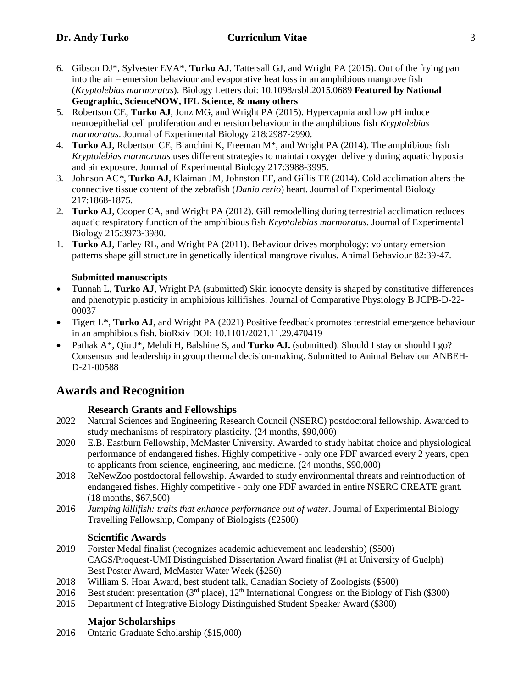- 6. Gibson DJ\*, Sylvester EVA\*, **Turko AJ**, Tattersall GJ, and Wright PA (2015). Out of the frying pan into the air – emersion behaviour and evaporative heat loss in an amphibious mangrove fish (*Kryptolebias marmoratus*). Biology Letters doi: 10.1098/rsbl.2015.0689 **Featured by National Geographic, ScienceNOW, IFL Science, & many others**
- 5. Robertson CE, **Turko AJ**, Jonz MG, and Wright PA (2015). Hypercapnia and low pH induce neuroepithelial cell proliferation and emersion behaviour in the amphibious fish *Kryptolebias marmoratus*. Journal of Experimental Biology 218:2987-2990.
- 4. **Turko AJ**, Robertson CE, Bianchini K, Freeman M\*, and Wright PA (2014). The amphibious fish *Kryptolebias marmoratus* uses different strategies to maintain oxygen delivery during aquatic hypoxia and air exposure. Journal of Experimental Biology 217:3988-3995.
- 3. Johnson AC*\*,* **Turko AJ**, Klaiman JM, Johnston EF, and Gillis TE (2014). Cold acclimation alters the connective tissue content of the zebrafish (*Danio rerio*) heart. Journal of Experimental Biology 217:1868-1875.
- 2. **Turko AJ**, Cooper CA, and Wright PA (2012). Gill remodelling during terrestrial acclimation reduces aquatic respiratory function of the amphibious fish *Kryptolebias marmoratus*. Journal of Experimental Biology 215:3973-3980.
- 1. **Turko AJ**, Earley RL, and Wright PA (2011). Behaviour drives morphology: voluntary emersion patterns shape gill structure in genetically identical mangrove rivulus. Animal Behaviour 82:39-47.

## **Submitted manuscripts**

- Tunnah L, **Turko AJ**, Wright PA (submitted) Skin ionocyte density is shaped by constitutive differences and phenotypic plasticity in amphibious killifishes. Journal of Comparative Physiology B JCPB-D-22- 00037
- Tigert L\*, **Turko AJ**, and Wright PA (2021) Positive feedback promotes terrestrial emergence behaviour in an amphibious fish. bioRxiv DOI: 10.1101/2021.11.29.470419
- Pathak A\*, Qiu J\*, Mehdi H, Balshine S, and **Turko AJ.** (submitted). Should I stay or should I go? Consensus and leadership in group thermal decision-making. Submitted to Animal Behaviour ANBEH-D-21-00588

# **Awards and Recognition**

## **Research Grants and Fellowships**

- 2022 Natural Sciences and Engineering Research Council (NSERC) postdoctoral fellowship. Awarded to study mechanisms of respiratory plasticity. (24 months, \$90,000)
- 2020 E.B. Eastburn Fellowship, McMaster University. Awarded to study habitat choice and physiological performance of endangered fishes. Highly competitive - only one PDF awarded every 2 years, open to applicants from science, engineering, and medicine. (24 months, \$90,000)
- 2018 ReNewZoo postdoctoral fellowship. Awarded to study environmental threats and reintroduction of endangered fishes. Highly competitive - only one PDF awarded in entire NSERC CREATE grant. (18 months, \$67,500)
- 2016 *Jumping killifish: traits that enhance performance out of water*. Journal of Experimental Biology Travelling Fellowship, Company of Biologists (£2500)

## **Scientific Awards**

- 2019 Forster Medal finalist (recognizes academic achievement and leadership) (\$500) CAGS/Proquest-UMI Distinguished Dissertation Award finalist (#1 at University of Guelph) Best Poster Award, McMaster Water Week (\$250)
- 2018 William S. Hoar Award, best student talk, Canadian Society of Zoologists (\$500)
- 2016 Best student presentation ( $3<sup>rd</sup>$  place),  $12<sup>th</sup>$  International Congress on the Biology of Fish (\$300)
- 2015 Department of Integrative Biology Distinguished Student Speaker Award (\$300)

# **Major Scholarships**

2016 Ontario Graduate Scholarship (\$15,000)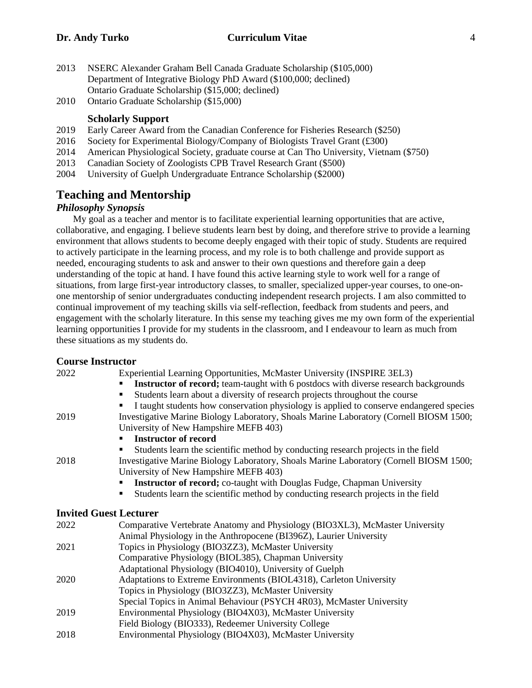- 2013 NSERC Alexander Graham Bell Canada Graduate Scholarship (\$105,000) Department of Integrative Biology PhD Award (\$100,000; declined) Ontario Graduate Scholarship (\$15,000; declined)
- 2010 Ontario Graduate Scholarship (\$15,000)

#### **Scholarly Support**

- 2019 Early Career Award from the Canadian Conference for Fisheries Research (\$250)
- 2016 Society for Experimental Biology/Company of Biologists Travel Grant  $(\text{\pounds}300)$
- 2014 American Physiological Society, graduate course at Can Tho University, Vietnam (\$750)
- 2013 Canadian Society of Zoologists CPB Travel Research Grant (\$500)
- 2004 University of Guelph Undergraduate Entrance Scholarship (\$2000)

# **Teaching and Mentorship**

#### *Philosophy Synopsis*

 My goal as a teacher and mentor is to facilitate experiential learning opportunities that are active, collaborative, and engaging. I believe students learn best by doing, and therefore strive to provide a learning environment that allows students to become deeply engaged with their topic of study. Students are required to actively participate in the learning process, and my role is to both challenge and provide support as needed, encouraging students to ask and answer to their own questions and therefore gain a deep understanding of the topic at hand. I have found this active learning style to work well for a range of situations, from large first-year introductory classes, to smaller, specialized upper-year courses, to one-onone mentorship of senior undergraduates conducting independent research projects. I am also committed to continual improvement of my teaching skills via self-reflection, feedback from students and peers, and engagement with the scholarly literature. In this sense my teaching gives me my own form of the experiential learning opportunities I provide for my students in the classroom, and I endeavour to learn as much from these situations as my students do.

#### **Course Instructor**

| 2022 | Experiential Learning Opportunities, McMaster University (INSPIRE 3EL3)                                                         |
|------|---------------------------------------------------------------------------------------------------------------------------------|
|      | Instructor of record; team-taught with 6 postdocs with diverse research backgrounds                                             |
|      | Students learn about a diversity of research projects throughout the course<br>п                                                |
|      | I taught students how conservation physiology is applied to conserve endangered species                                         |
| 2019 | Investigative Marine Biology Laboratory, Shoals Marine Laboratory (Cornell BIOSM 1500;                                          |
|      | University of New Hampshire MEFB 403)                                                                                           |
|      | <b>Instructor of record</b>                                                                                                     |
|      | Students learn the scientific method by conducting research projects in the field                                               |
| 2018 | Investigative Marine Biology Laboratory, Shoals Marine Laboratory (Cornell BIOSM 1500;<br>University of New Hampshire MEFB 403) |
|      | <b>Instructor of record;</b> co-taught with Douglas Fudge, Chapman University                                                   |
|      | Students learn the scientific method by conducting research projects in the field<br>■                                          |
|      | <b>Invited Guest Lecturer</b>                                                                                                   |
| 2022 | Comparative Vertebrate Anatomy and Physiology (BIO3XL3), McMaster University                                                    |
|      | Animal Physiology in the Anthropocene (BI396Z), Laurier University                                                              |
| 2021 | Topics in Physiology (BIO3ZZ3), McMaster University                                                                             |
|      | Comparative Physiology (BIOL385), Chapman University                                                                            |
|      | Adaptational Physiology (BIO4010), University of Guelph                                                                         |
| 2020 | Adaptations to Extreme Environments (BIOL4318), Carleton University                                                             |
|      | Topics in Physiology (BIO3ZZ3), McMaster University                                                                             |
|      | Special Topics in Animal Behaviour (PSYCH 4R03), McMaster University                                                            |
| 2019 | Environmental Physiology (BIO4X03), McMaster University                                                                         |
|      | Field Biology (BIO333), Redeemer University College                                                                             |
| 2018 | Environmental Physiology (BIO4X03), McMaster University                                                                         |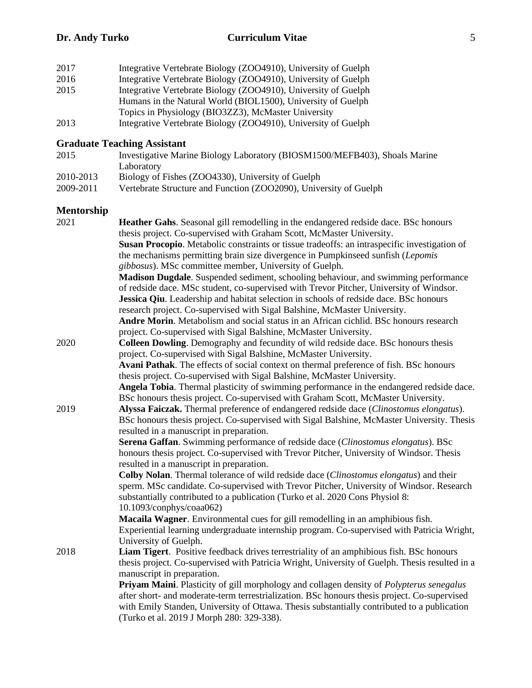| 2017 | Integrative Vertebrate Biology (ZOO4910), University of Guelph |
|------|----------------------------------------------------------------|
| 2016 | Integrative Vertebrate Biology (ZOO4910), University of Guelph |
| 2015 | Integrative Vertebrate Biology (ZOO4910), University of Guelph |
|      | Humans in the Natural World (BIOL1500), University of Guelph   |
|      | Topics in Physiology (BIO3ZZ3), McMaster University            |
| 2013 | Integrative Vertebrate Biology (ZOO4910), University of Guelph |

#### **Graduate Teaching Assistant**

| 2015 | Investigative Marine Biology Laboratory (BIOSM1500/MEFB403), Shoals Marine |
|------|----------------------------------------------------------------------------|
|      | Laboratory                                                                 |

- 2010-2013 Biology of Fishes (ZOO4330), University of Guelph<br>2009-2011 Vertebrate Structure and Function (ZOO2090), Unive
- Vertebrate Structure and Function (ZOO2090), University of Guelph

#### **Mentorship**

| Heather Gahs. Seasonal gill remodelling in the endangered redside dace. BSc honours             |
|-------------------------------------------------------------------------------------------------|
| thesis project. Co-supervised with Graham Scott, McMaster University.                           |
| Susan Procopio. Metabolic constraints or tissue tradeoffs: an intraspecific investigation of    |
| the mechanisms permitting brain size divergence in Pumpkinseed sunfish (Lepomis                 |
| gibbosus). MSc committee member, University of Guelph.                                          |
| Madison Dugdale. Suspended sediment, schooling behaviour, and swimming performance              |
| of redside dace. MSc student, co-supervised with Trevor Pitcher, University of Windsor.         |
| Jessica Qiu. Leadership and habitat selection in schools of redside dace. BSc honours           |
| research project. Co-supervised with Sigal Balshine, McMaster University.                       |
| Andre Morin. Metabolism and social status in an African cichlid. BSc honours research           |
| project. Co-supervised with Sigal Balshine, McMaster University.                                |
| <b>Colleen Dowling.</b> Demography and fecundity of wild redside dace. BSc honours thesis       |
| project. Co-supervised with Sigal Balshine, McMaster University.                                |
| Avani Pathak. The effects of social context on thermal preference of fish. BSc honours          |
| thesis project. Co-supervised with Sigal Balshine, McMaster University.                         |
| Angela Tobia. Thermal plasticity of swimming performance in the endangered redside dace.        |
| BSc honours thesis project. Co-supervised with Graham Scott, McMaster University.               |
| Alyssa Faiczak. Thermal preference of endangered redside dace (Clinostomus elongatus).          |
| BSc honours thesis project. Co-supervised with Sigal Balshine, McMaster University. Thesis      |
| resulted in a manuscript in preparation.                                                        |
| Serena Gaffan. Swimming performance of redside dace (Clinostomus elongatus). BSc                |
| honours thesis project. Co-supervised with Trevor Pitcher, University of Windsor. Thesis        |
| resulted in a manuscript in preparation.                                                        |
| Colby Nolan. Thermal tolerance of wild redside dace (Clinostomus elongatus) and their           |
| sperm. MSc candidate. Co-supervised with Trevor Pitcher, University of Windsor. Research        |
| substantially contributed to a publication (Turko et al. 2020 Cons Physiol 8:                   |
| 10.1093/conphys/coaa062)                                                                        |
| Macaila Wagner. Environmental cues for gill remodelling in an amphibious fish.                  |
| Experiential learning undergraduate internship program. Co-supervised with Patricia Wright,     |
| University of Guelph.                                                                           |
| Liam Tigert. Positive feedback drives terrestriality of an amphibious fish. BSc honours         |
| thesis project. Co-supervised with Patricia Wright, University of Guelph. Thesis resulted in a  |
| manuscript in preparation.                                                                      |
| Priyam Maini. Plasticity of gill morphology and collagen density of <i>Polypterus senegalus</i> |
| after short- and moderate-term terrestrialization. BSc honours thesis project. Co-supervised    |
| with Emily Standen, University of Ottawa. Thesis substantially contributed to a publication     |
| (Turko et al. 2019 J Morph 280: 329-338).                                                       |
|                                                                                                 |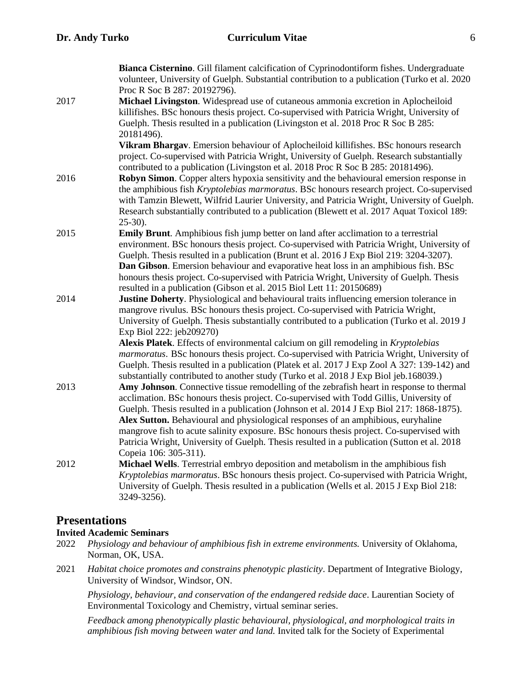|      | Bianca Cisternino. Gill filament calcification of Cyprinodontiform fishes. Undergraduate                                                                                           |
|------|------------------------------------------------------------------------------------------------------------------------------------------------------------------------------------|
|      | volunteer, University of Guelph. Substantial contribution to a publication (Turko et al. 2020)                                                                                     |
|      | Proc R Soc B 287: 20192796).                                                                                                                                                       |
| 2017 | Michael Livingston. Widespread use of cutaneous ammonia excretion in Aplocheiloid                                                                                                  |
|      | killifishes. BSc honours thesis project. Co-supervised with Patricia Wright, University of                                                                                         |
|      | Guelph. Thesis resulted in a publication (Livingston et al. 2018 Proc R Soc B 285:                                                                                                 |
|      | 20181496).                                                                                                                                                                         |
|      | Vikram Bhargav. Emersion behaviour of Aplocheiloid killifishes. BSc honours research                                                                                               |
|      | project. Co-supervised with Patricia Wright, University of Guelph. Research substantially                                                                                          |
|      | contributed to a publication (Livingston et al. 2018 Proc R Soc B 285: 20181496).                                                                                                  |
| 2016 | Robyn Simon. Copper alters hypoxia sensitivity and the behavioural emersion response in                                                                                            |
|      | the amphibious fish <i>Kryptolebias marmoratus</i> . BSc honours research project. Co-supervised                                                                                   |
|      | with Tamzin Blewett, Wilfrid Laurier University, and Patricia Wright, University of Guelph.                                                                                        |
|      | Research substantially contributed to a publication (Blewett et al. 2017 Aquat Toxicol 189:                                                                                        |
|      | $25-30$ ).                                                                                                                                                                         |
| 2015 | Emily Brunt. Amphibious fish jump better on land after acclimation to a terrestrial                                                                                                |
|      | environment. BSc honours thesis project. Co-supervised with Patricia Wright, University of                                                                                         |
|      | Guelph. Thesis resulted in a publication (Brunt et al. 2016 J Exp Biol 219: 3204-3207).                                                                                            |
|      | <b>Dan Gibson</b> . Emersion behaviour and evaporative heat loss in an amphibious fish. BSc                                                                                        |
|      | honours thesis project. Co-supervised with Patricia Wright, University of Guelph. Thesis                                                                                           |
|      | resulted in a publication (Gibson et al. 2015 Biol Lett 11: 20150689)                                                                                                              |
| 2014 | Justine Doherty. Physiological and behavioural traits influencing emersion tolerance in                                                                                            |
|      | mangrove rivulus. BSc honours thesis project. Co-supervised with Patricia Wright,                                                                                                  |
|      | University of Guelph. Thesis substantially contributed to a publication (Turko et al. 2019 J                                                                                       |
|      | Exp Biol 222: jeb209270)                                                                                                                                                           |
|      | Alexis Platek. Effects of environmental calcium on gill remodeling in Kryptolebias                                                                                                 |
|      | marmoratus. BSc honours thesis project. Co-supervised with Patricia Wright, University of                                                                                          |
|      | Guelph. Thesis resulted in a publication (Platek et al. 2017 J Exp Zool A 327: 139-142) and                                                                                        |
|      | substantially contributed to another study (Turko et al. 2018 J Exp Biol jeb.168039.)                                                                                              |
| 2013 | Amy Johnson. Connective tissue remodelling of the zebrafish heart in response to thermal<br>acclimation. BSc honours thesis project. Co-supervised with Todd Gillis, University of |
|      | Guelph. Thesis resulted in a publication (Johnson et al. 2014 J Exp Biol 217: 1868-1875).                                                                                          |
|      | Alex Sutton. Behavioural and physiological responses of an amphibious, euryhaline                                                                                                  |
|      | mangrove fish to acute salinity exposure. BSc honours thesis project. Co-supervised with                                                                                           |
|      | Patricia Wright, University of Guelph. Thesis resulted in a publication (Sutton et al. 2018)                                                                                       |
|      | Copeia 106: 305-311).                                                                                                                                                              |
| 2012 | Michael Wells. Terrestrial embryo deposition and metabolism in the amphibious fish                                                                                                 |
|      | Kryptolebias marmoratus. BSc honours thesis project. Co-supervised with Patricia Wright,                                                                                           |
|      | University of Guelph. Thesis resulted in a publication (Wells et al. 2015 J Exp Biol 218:                                                                                          |
|      | 3249-3256).                                                                                                                                                                        |
|      |                                                                                                                                                                                    |

# **Presentations**

#### **Invited Academic Seminars**

- 2022 *Physiology and behaviour of amphibious fish in extreme environments.* University of Oklahoma, Norman, OK, USA.
- 2021 *Habitat choice promotes and constrains phenotypic plasticity*. Department of Integrative Biology, University of Windsor, Windsor, ON.

*Physiology, behaviour, and conservation of the endangered redside dace*. Laurentian Society of Environmental Toxicology and Chemistry, virtual seminar series.

*Feedback among phenotypically plastic behavioural, physiological, and morphological traits in amphibious fish moving between water and land.* Invited talk for the Society of Experimental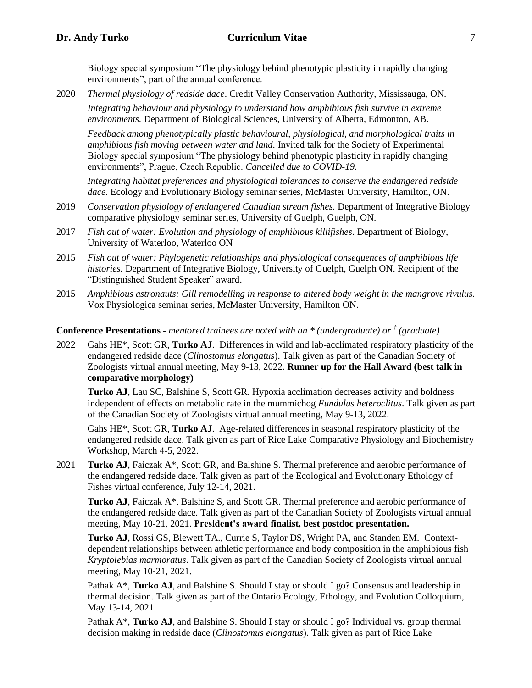Biology special symposium "The physiology behind phenotypic plasticity in rapidly changing environments", part of the annual conference.

2020 *Thermal physiology of redside dace*. Credit Valley Conservation Authority, Mississauga, ON. *Integrating behaviour and physiology to understand how amphibious fish survive in extreme environments.* Department of Biological Sciences, University of Alberta, Edmonton, AB.

*Feedback among phenotypically plastic behavioural, physiological, and morphological traits in amphibious fish moving between water and land.* Invited talk for the Society of Experimental Biology special symposium "The physiology behind phenotypic plasticity in rapidly changing environments", Prague, Czech Republic. *Cancelled due to COVID-19.*

*Integrating habitat preferences and physiological tolerances to conserve the endangered redside dace.* Ecology and Evolutionary Biology seminar series, McMaster University, Hamilton, ON.

- 2019 *Conservation physiology of endangered Canadian stream fishes.* Department of Integrative Biology comparative physiology seminar series, University of Guelph, Guelph, ON.
- 2017 *Fish out of water: Evolution and physiology of amphibious killifishes*. Department of Biology, University of Waterloo, Waterloo ON
- 2015 *Fish out of water: Phylogenetic relationships and physiological consequences of amphibious life histories.* Department of Integrative Biology, University of Guelph, Guelph ON. Recipient of the "Distinguished Student Speaker" award.
- 2015 *Amphibious astronauts: Gill remodelling in response to altered body weight in the mangrove rivulus.* Vox Physiologica seminar series, McMaster University, Hamilton ON.

#### **Conference Presentations -** *mentored trainees are noted with an \* (undergraduate) or † (graduate)*

2022 Gahs HE\*, Scott GR, **Turko AJ**. Differences in wild and lab-acclimated respiratory plasticity of the endangered redside dace (*Clinostomus elongatus*). Talk given as part of the Canadian Society of Zoologists virtual annual meeting, May 9-13, 2022. **Runner up for the Hall Award (best talk in comparative morphology)**

**Turko AJ**, Lau SC, Balshine S, Scott GR. Hypoxia acclimation decreases activity and boldness independent of effects on metabolic rate in the mummichog *Fundulus heteroclitus*. Talk given as part of the Canadian Society of Zoologists virtual annual meeting, May 9-13, 2022.

Gahs HE\*, Scott GR, **Turko AJ**. Age-related differences in seasonal respiratory plasticity of the endangered redside dace. Talk given as part of Rice Lake Comparative Physiology and Biochemistry Workshop, March 4-5, 2022.

2021 **Turko AJ**, Faiczak A\*, Scott GR, and Balshine S. Thermal preference and aerobic performance of the endangered redside dace. Talk given as part of the Ecological and Evolutionary Ethology of Fishes virtual conference, July 12-14, 2021.

**Turko AJ**, Faiczak A\*, Balshine S, and Scott GR. Thermal preference and aerobic performance of the endangered redside dace. Talk given as part of the Canadian Society of Zoologists virtual annual meeting, May 10-21, 2021. **President's award finalist, best postdoc presentation.**

**Turko AJ**, Rossi GS, Blewett TA., Currie S, Taylor DS, Wright PA, and Standen EM. Contextdependent relationships between athletic performance and body composition in the amphibious fish *Kryptolebias marmoratus*. Talk given as part of the Canadian Society of Zoologists virtual annual meeting, May 10-21, 2021.

Pathak A<sup>\*</sup>, **Turko AJ**, and Balshine S. Should I stay or should I go? Consensus and leadership in thermal decision. Talk given as part of the Ontario Ecology, Ethology, and Evolution Colloquium, May 13-14, 2021.

Pathak A<sup>\*</sup>, **Turko AJ**, and Balshine S. Should I stay or should I go? Individual vs. group thermal decision making in redside dace (*Clinostomus elongatus*). Talk given as part of Rice Lake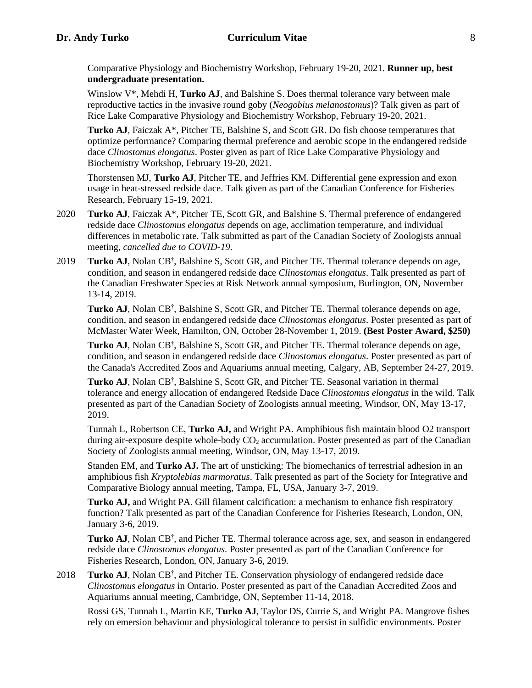Comparative Physiology and Biochemistry Workshop, February 19-20, 2021. **Runner up, best undergraduate presentation.**

Winslow V\*, Mehdi H, **Turko AJ**, and Balshine S. Does thermal tolerance vary between male reproductive tactics in the invasive round goby (*Neogobius melanostomus*)? Talk given as part of Rice Lake Comparative Physiology and Biochemistry Workshop, February 19-20, 2021.

**Turko AJ**, Faiczak A\*, Pitcher TE, Balshine S, and Scott GR. Do fish choose temperatures that optimize performance? Comparing thermal preference and aerobic scope in the endangered redside dace *Clinostomus elongatus*. Poster given as part of Rice Lake Comparative Physiology and Biochemistry Workshop, February 19-20, 2021.

Thorstensen MJ, **Turko AJ**, Pitcher TE, and Jeffries KM. Differential gene expression and exon usage in heat-stressed redside dace. Talk given as part of the Canadian Conference for Fisheries Research, February 15-19, 2021.

- 2020 **Turko AJ**, Faiczak A\*, Pitcher TE, Scott GR, and Balshine S. Thermal preference of endangered redside dace *Clinostomus elongatus* depends on age, acclimation temperature, and individual differences in metabolic rate. Talk submitted as part of the Canadian Society of Zoologists annual meeting, *cancelled due to COVID-19*.
- 2019 Turko AJ, Nolan CB<sup>†</sup>, Balshine S, Scott GR, and Pitcher TE. Thermal tolerance depends on age, condition, and season in endangered redside dace *Clinostomus elongatus*. Talk presented as part of the Canadian Freshwater Species at Risk Network annual symposium, Burlington, ON, November 13-14, 2019.

Turko AJ, Nolan CB<sup>†</sup>, Balshine S, Scott GR, and Pitcher TE. Thermal tolerance depends on age, condition, and season in endangered redside dace *Clinostomus elongatus*. Poster presented as part of McMaster Water Week, Hamilton, ON, October 28-November 1, 2019. **(Best Poster Award, \$250)**

Turko AJ, Nolan CB<sup>†</sup>, Balshine S, Scott GR, and Pitcher TE. Thermal tolerance depends on age, condition, and season in endangered redside dace *Clinostomus elongatus*. Poster presented as part of the Canada's Accredited Zoos and Aquariums annual meeting, Calgary, AB, September 24-27, 2019.

Turko AJ, Nolan CB<sup>†</sup>, Balshine S, Scott GR, and Pitcher TE. Seasonal variation in thermal tolerance and energy allocation of endangered Redside Dace *Clinostomus elongatus* in the wild. Talk presented as part of the Canadian Society of Zoologists annual meeting, Windsor, ON, May 13-17, 2019.

Tunnah L, Robertson CE, **Turko AJ,** and Wright PA. Amphibious fish maintain blood O2 transport during air-exposure despite whole-body CO<sub>2</sub> accumulation. Poster presented as part of the Canadian Society of Zoologists annual meeting, Windsor, ON, May 13-17, 2019.

Standen EM, and **Turko AJ.** The art of unsticking: The biomechanics of terrestrial adhesion in an amphibious fish *Kryptolebias marmoratus*. Talk presented as part of the Society for Integrative and Comparative Biology annual meeting, Tampa, FL, USA, January 3-7, 2019.

**Turko AJ,** and Wright PA. Gill filament calcification: a mechanism to enhance fish respiratory function? Talk presented as part of the Canadian Conference for Fisheries Research, London, ON, January 3-6, 2019.

Turko AJ, Nolan CB<sup>†</sup>, and Picher TE. Thermal tolerance across age, sex, and season in endangered redside dace *Clinostomus elongatus.* Poster presented as part of the Canadian Conference for Fisheries Research, London, ON, January 3-6, 2019.

2018 Turko AJ, Nolan CB<sup>†</sup>, and Pitcher TE. Conservation physiology of endangered redside dace *Clinostomus elongatus* in Ontario. Poster presented as part of the Canadian Accredited Zoos and Aquariums annual meeting, Cambridge, ON, September 11-14, 2018.

Rossi GS, Tunnah L, Martin KE, **Turko AJ**, Taylor DS, Currie S, and Wright PA. Mangrove fishes rely on emersion behaviour and physiological tolerance to persist in sulfidic environments. Poster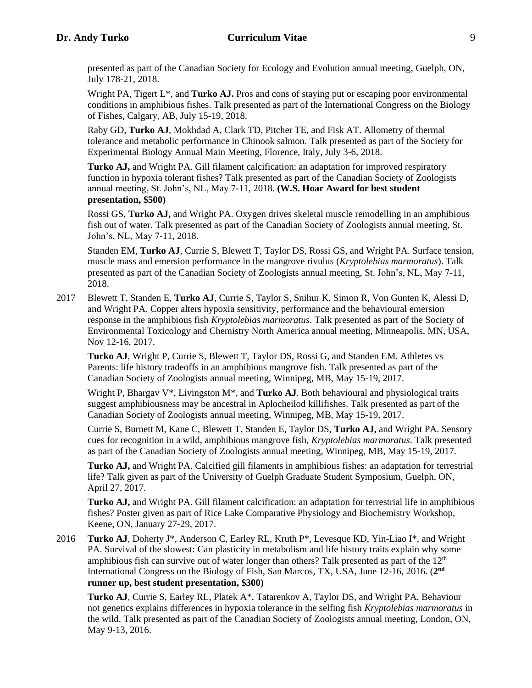presented as part of the Canadian Society for Ecology and Evolution annual meeting, Guelph, ON, July 178-21, 2018.

Wright PA, Tigert  $L^*$ , and **Turko AJ.** Pros and cons of staying put or escaping poor environmental conditions in amphibious fishes. Talk presented as part of the International Congress on the Biology of Fishes, Calgary, AB, July 15-19, 2018.

Raby GD, **Turko AJ**, Mokhdad A, Clark TD, Pitcher TE, and Fisk AT. Allometry of thermal tolerance and metabolic performance in Chinook salmon. Talk presented as part of the Society for Experimental Biology Annual Main Meeting, Florence, Italy, July 3-6, 2018.

**Turko AJ,** and Wright PA. Gill filament calcification: an adaptation for improved respiratory function in hypoxia tolerant fishes? Talk presented as part of the Canadian Society of Zoologists annual meeting, St. John's, NL, May 7-11, 2018. **(W.S. Hoar Award for best student presentation, \$500)**

Rossi GS, **Turko AJ,** and Wright PA. Oxygen drives skeletal muscle remodelling in an amphibious fish out of water. Talk presented as part of the Canadian Society of Zoologists annual meeting, St. John's, NL, May 7-11, 2018.

Standen EM, **Turko AJ**, Currie S, Blewett T, Taylor DS, Rossi GS, and Wright PA. Surface tension, muscle mass and emersion performance in the mangrove rivulus (*Kryptolebias marmoratus*). Talk presented as part of the Canadian Society of Zoologists annual meeting, St. John's, NL, May 7-11, 2018.

2017 Blewett T, Standen E, **Turko AJ**, Currie S, Taylor S, Snihur K, Simon R, Von Gunten K, Alessi D, and Wright PA. Copper alters hypoxia sensitivity, performance and the behavioural emersion response in the amphibious fish *Kryptolebias marmoratus*. Talk presented as part of the Society of Environmental Toxicology and Chemistry North America annual meeting, Minneapolis, MN, USA, Nov 12-16, 2017.

**Turko AJ**, Wright P, Currie S, Blewett T, Taylor DS, Rossi G, and Standen EM. Athletes vs Parents: life history tradeoffs in an amphibious mangrove fish. Talk presented as part of the Canadian Society of Zoologists annual meeting, Winnipeg, MB, May 15-19, 2017.

Wright P, Bhargav V\*, Livingston M\*, and **Turko AJ**. Both behavioural and physiological traits suggest amphibiousness may be ancestral in Aplocheilod killifishes. Talk presented as part of the Canadian Society of Zoologists annual meeting, Winnipeg, MB, May 15-19, 2017.

Currie S, Burnett M, Kane C, Blewett T, Standen E, Taylor DS, **Turko AJ,** and Wright PA. Sensory cues for recognition in a wild, amphibious mangrove fish, *Kryptolebias marmoratus*. Talk presented as part of the Canadian Society of Zoologists annual meeting, Winnipeg, MB, May 15-19, 2017.

**Turko AJ,** and Wright PA. Calcified gill filaments in amphibious fishes: an adaptation for terrestrial life? Talk given as part of the University of Guelph Graduate Student Symposium, Guelph, ON, April 27, 2017.

**Turko AJ,** and Wright PA. Gill filament calcification: an adaptation for terrestrial life in amphibious fishes? Poster given as part of Rice Lake Comparative Physiology and Biochemistry Workshop, Keene, ON, January 27-29, 2017.

2016 **Turko AJ**, Doherty J\*, Anderson C, Earley RL, Kruth P\*, Levesque KD, Yin-Liao I\*, and Wright PA. Survival of the slowest: Can plasticity in metabolism and life history traits explain why some amphibious fish can survive out of water longer than others? Talk presented as part of the  $12<sup>th</sup>$ International Congress on the Biology of Fish, San Marcos, TX, USA, June 12-16, 2016. (**2 nd runner up, best student presentation, \$300)**

**Turko AJ**, Currie S, Earley RL, Platek A\*, Tatarenkov A, Taylor DS, and Wright PA. Behaviour not genetics explains differences in hypoxia tolerance in the selfing fish *Kryptolebias marmoratus* in the wild. Talk presented as part of the Canadian Society of Zoologists annual meeting, London, ON, May 9-13, 2016.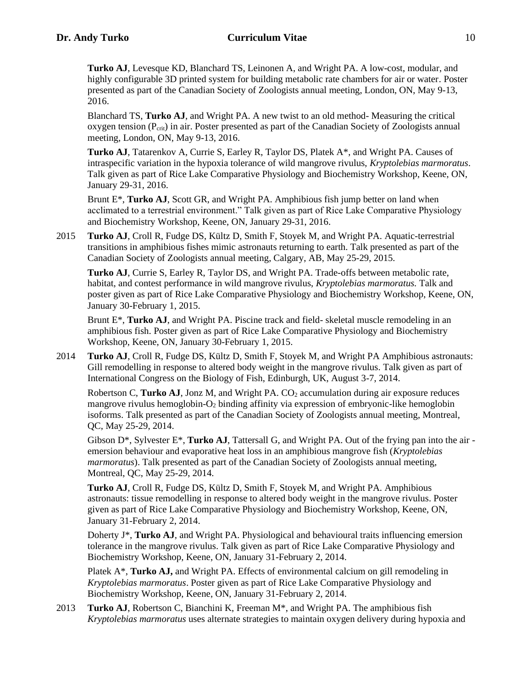**Turko AJ**, Levesque KD, Blanchard TS, Leinonen A, and Wright PA. A low-cost, modular, and highly configurable 3D printed system for building metabolic rate chambers for air or water. Poster presented as part of the Canadian Society of Zoologists annual meeting, London, ON, May 9-13, 2016.

Blanchard TS, **Turko AJ**, and Wright PA. A new twist to an old method- Measuring the critical oxygen tension (Pcrit) in air. Poster presented as part of the Canadian Society of Zoologists annual meeting, London, ON, May 9-13, 2016.

**Turko AJ**, Tatarenkov A, Currie S, Earley R, Taylor DS, Platek A\*, and Wright PA. Causes of intraspecific variation in the hypoxia tolerance of wild mangrove rivulus, *Kryptolebias marmoratus*. Talk given as part of Rice Lake Comparative Physiology and Biochemistry Workshop, Keene, ON, January 29-31, 2016.

Brunt E\*, **Turko AJ**, Scott GR, and Wright PA. Amphibious fish jump better on land when acclimated to a terrestrial environment." Talk given as part of Rice Lake Comparative Physiology and Biochemistry Workshop, Keene, ON, January 29-31, 2016.

2015 **Turko AJ**, Croll R, Fudge DS, Kültz D, Smith F, Stoyek M, and Wright PA. Aquatic-terrestrial transitions in amphibious fishes mimic astronauts returning to earth. Talk presented as part of the Canadian Society of Zoologists annual meeting, Calgary, AB, May 25-29, 2015.

**Turko AJ**, Currie S, Earley R, Taylor DS, and Wright PA. Trade-offs between metabolic rate, habitat, and contest performance in wild mangrove rivulus, *Kryptolebias marmoratus.* Talk and poster given as part of Rice Lake Comparative Physiology and Biochemistry Workshop, Keene, ON, January 30-February 1, 2015.

Brunt E\*, **Turko AJ**, and Wright PA. Piscine track and field- skeletal muscle remodeling in an amphibious fish. Poster given as part of Rice Lake Comparative Physiology and Biochemistry Workshop, Keene, ON, January 30-February 1, 2015.

2014 **Turko AJ**, Croll R, Fudge DS, Kültz D, Smith F, Stoyek M, and Wright PA Amphibious astronauts: Gill remodelling in response to altered body weight in the mangrove rivulus. Talk given as part of International Congress on the Biology of Fish, Edinburgh, UK, August 3-7, 2014.

Robertson C, **Turko AJ**, Jonz M, and Wright PA. CO<sub>2</sub> accumulation during air exposure reduces mangrove rivulus hemoglobin-O<sup>2</sup> binding affinity via expression of embryonic-like hemoglobin isoforms. Talk presented as part of the Canadian Society of Zoologists annual meeting, Montreal, QC, May 25-29, 2014.

Gibson D\*, Sylvester E\*, **Turko AJ**, Tattersall G, and Wright PA. Out of the frying pan into the air emersion behaviour and evaporative heat loss in an amphibious mangrove fish (*Kryptolebias marmoratus*). Talk presented as part of the Canadian Society of Zoologists annual meeting, Montreal, QC, May 25-29, 2014.

**Turko AJ**, Croll R, Fudge DS, Kültz D, Smith F, Stoyek M, and Wright PA. Amphibious astronauts: tissue remodelling in response to altered body weight in the mangrove rivulus. Poster given as part of Rice Lake Comparative Physiology and Biochemistry Workshop, Keene, ON, January 31-February 2, 2014.

Doherty J\*, **Turko AJ**, and Wright PA. Physiological and behavioural traits influencing emersion tolerance in the mangrove rivulus. Talk given as part of Rice Lake Comparative Physiology and Biochemistry Workshop, Keene, ON, January 31-February 2, 2014.

Platek A\*, **Turko AJ,** and Wright PA. Effects of environmental calcium on gill remodeling in *Kryptolebias marmoratus*. Poster given as part of Rice Lake Comparative Physiology and Biochemistry Workshop, Keene, ON, January 31-February 2, 2014.

2013 **Turko AJ**, Robertson C, Bianchini K, Freeman M\*, and Wright PA. The amphibious fish *Kryptolebias marmoratus* uses alternate strategies to maintain oxygen delivery during hypoxia and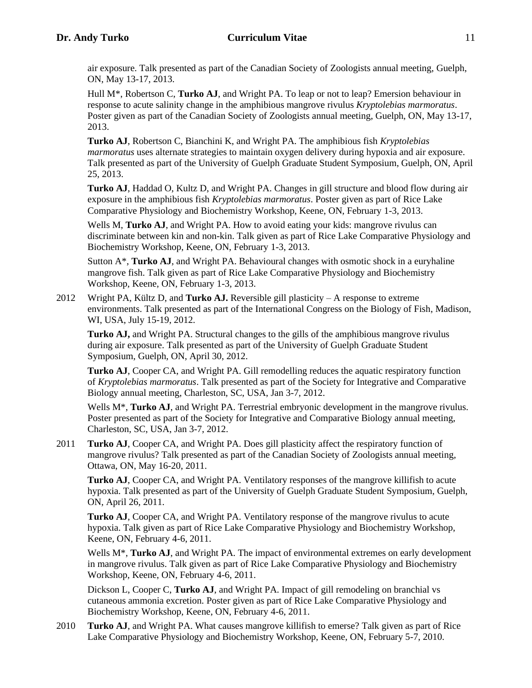air exposure. Talk presented as part of the Canadian Society of Zoologists annual meeting, Guelph, ON, May 13-17, 2013.

Hull M\*, Robertson C, **Turko AJ**, and Wright PA. To leap or not to leap? Emersion behaviour in response to acute salinity change in the amphibious mangrove rivulus *Kryptolebias marmoratus*. Poster given as part of the Canadian Society of Zoologists annual meeting, Guelph, ON, May 13-17, 2013.

**Turko AJ**, Robertson C, Bianchini K, and Wright PA. The amphibious fish *Kryptolebias marmoratus* uses alternate strategies to maintain oxygen delivery during hypoxia and air exposure. Talk presented as part of the University of Guelph Graduate Student Symposium, Guelph, ON, April 25, 2013.

**Turko AJ**, Haddad O, Kultz D, and Wright PA. Changes in gill structure and blood flow during air exposure in the amphibious fish *Kryptolebias marmoratus*. Poster given as part of Rice Lake Comparative Physiology and Biochemistry Workshop, Keene, ON, February 1-3, 2013.

Wells M, **Turko AJ**, and Wright PA. How to avoid eating your kids: mangrove rivulus can discriminate between kin and non-kin. Talk given as part of Rice Lake Comparative Physiology and Biochemistry Workshop, Keene, ON, February 1-3, 2013.

Sutton A\*, **Turko AJ**, and Wright PA. Behavioural changes with osmotic shock in a euryhaline mangrove fish. Talk given as part of Rice Lake Comparative Physiology and Biochemistry Workshop, Keene, ON, February 1-3, 2013.

2012 Wright PA, Kültz D, and **Turko AJ.** Reversible gill plasticity – A response to extreme environments. Talk presented as part of the International Congress on the Biology of Fish, Madison, WI, USA, July 15-19, 2012.

**Turko AJ,** and Wright PA. Structural changes to the gills of the amphibious mangrove rivulus during air exposure. Talk presented as part of the University of Guelph Graduate Student Symposium, Guelph, ON, April 30, 2012.

**Turko AJ**, Cooper CA, and Wright PA. Gill remodelling reduces the aquatic respiratory function of *Kryptolebias marmoratus*. Talk presented as part of the Society for Integrative and Comparative Biology annual meeting, Charleston, SC, USA, Jan 3-7, 2012.

Wells M<sup>\*</sup>, **Turko AJ**, and Wright PA. Terrestrial embryonic development in the mangrove rivulus. Poster presented as part of the Society for Integrative and Comparative Biology annual meeting, Charleston, SC, USA, Jan 3-7, 2012.

2011 **Turko AJ**, Cooper CA, and Wright PA. Does gill plasticity affect the respiratory function of mangrove rivulus? Talk presented as part of the Canadian Society of Zoologists annual meeting, Ottawa, ON, May 16-20, 2011.

**Turko AJ**, Cooper CA, and Wright PA. Ventilatory responses of the mangrove killifish to acute hypoxia. Talk presented as part of the University of Guelph Graduate Student Symposium, Guelph, ON, April 26, 2011.

**Turko AJ**, Cooper CA, and Wright PA. Ventilatory response of the mangrove rivulus to acute hypoxia. Talk given as part of Rice Lake Comparative Physiology and Biochemistry Workshop, Keene, ON, February 4-6, 2011.

Wells M<sup>\*</sup>, **Turko AJ**, and Wright PA. The impact of environmental extremes on early development in mangrove rivulus. Talk given as part of Rice Lake Comparative Physiology and Biochemistry Workshop, Keene, ON, February 4-6, 2011.

Dickson L, Cooper C, **Turko AJ**, and Wright PA. Impact of gill remodeling on branchial vs cutaneous ammonia excretion. Poster given as part of Rice Lake Comparative Physiology and Biochemistry Workshop, Keene, ON, February 4-6, 2011.

2010 **Turko AJ**, and Wright PA. What causes mangrove killifish to emerse? Talk given as part of Rice Lake Comparative Physiology and Biochemistry Workshop, Keene, ON, February 5-7, 2010.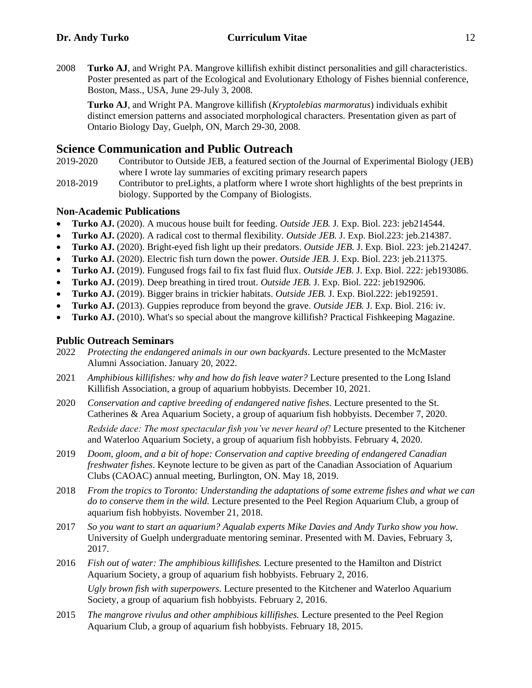2008 **Turko AJ**, and Wright PA. Mangrove killifish exhibit distinct personalities and gill characteristics. Poster presented as part of the Ecological and Evolutionary Ethology of Fishes biennial conference, Boston, Mass., USA, June 29-July 3, 2008.

**Turko AJ**, and Wright PA. Mangrove killifish (*Kryptolebias marmoratus*) individuals exhibit distinct emersion patterns and associated morphological characters. Presentation given as part of Ontario Biology Day, Guelph, ON, March 29-30, 2008.

# **Science Communication and Public Outreach**

- 2019-2020 Contributor to Outside JEB, a featured section of the Journal of Experimental Biology (JEB) where I wrote lay summaries of exciting primary research papers
- 2018-2019 Contributor to preLights, a platform where I wrote short highlights of the best preprints in biology. Supported by the Company of Biologists.

# **Non-Academic Publications**

- **Turko AJ.** (2020). A mucous house built for feeding. *Outside JEB.* J. Exp. Biol. 223: jeb214544.
- **Turko AJ.** (2020). A radical cost to thermal flexibility. *Outside JEB.* J. Exp. Biol.223: jeb.214387.
- **Turko AJ.** (2020). Bright-eyed fish light up their predators. *Outside JEB.* J. Exp. Biol. 223: jeb.214247.
- **Turko AJ.** (2020). Electric fish turn down the power. *Outside JEB.* J. Exp. Biol. 223: jeb.211375.
- **Turko AJ.** (2019). Fungused frogs fail to fix fast fluid flux. *Outside JEB.* J. Exp. Biol. 222: jeb193086.
- **Turko AJ.** (2019). Deep breathing in tired trout. *Outside JEB.* J. Exp. Biol. 222: jeb192906.
- **Turko AJ.** (2019). Bigger brains in trickier habitats. *Outside JEB.* J. Exp. Biol.222: jeb192591.
- **Turko AJ.** (2013). Guppies reproduce from beyond the grave. *Outside JEB.* J. Exp. Biol. 216: iv.
- **Turko AJ.** (2010). What's so special about the mangrove killifish? Practical Fishkeeping Magazine.

# **Public Outreach Seminars**

- 2022 *Protecting the endangered animals in our own backyards*. Lecture presented to the McMaster Alumni Association. January 20, 2022.
- 2021 *Amphibious killifishes: why and how do fish leave water?* Lecture presented to the Long Island Killifish Association, a group of aquarium hobbyists. December 10, 2021.
- 2020 *Conservation and captive breeding of endangered native fishes.* Lecture presented to the St. Catherines & Area Aquarium Society, a group of aquarium fish hobbyists. December 7, 2020. *Redside dace: The most spectacular fish you've never heard of!* Lecture presented to the Kitchener and Waterloo Aquarium Society, a group of aquarium fish hobbyists. February 4, 2020.
- 2019 *Doom, gloom, and a bit of hope: Conservation and captive breeding of endangered Canadian freshwater fishes*. Keynote lecture to be given as part of the Canadian Association of Aquarium Clubs (CAOAC) annual meeting, Burlington, ON. May 18, 2019.
- 2018 *From the tropics to Toronto: Understanding the adaptations of some extreme fishes and what we can do to conserve them in the wild.* Lecture presented to the Peel Region Aquarium Club, a group of aquarium fish hobbyists. November 21, 2018.
- 2017 *So you want to start an aquarium? Aqualab experts Mike Davies and Andy Turko show you how.* University of Guelph undergraduate mentoring seminar. Presented with M. Davies, February 3, 2017.
- 2016 *Fish out of water: The amphibious killifishes.* Lecture presented to the Hamilton and District Aquarium Society, a group of aquarium fish hobbyists. February 2, 2016.

*Ugly brown fish with superpowers.* Lecture presented to the Kitchener and Waterloo Aquarium Society, a group of aquarium fish hobbyists. February 2, 2016.

2015 *The mangrove rivulus and other amphibious killifishes.* Lecture presented to the Peel Region Aquarium Club, a group of aquarium fish hobbyists. February 18, 2015.